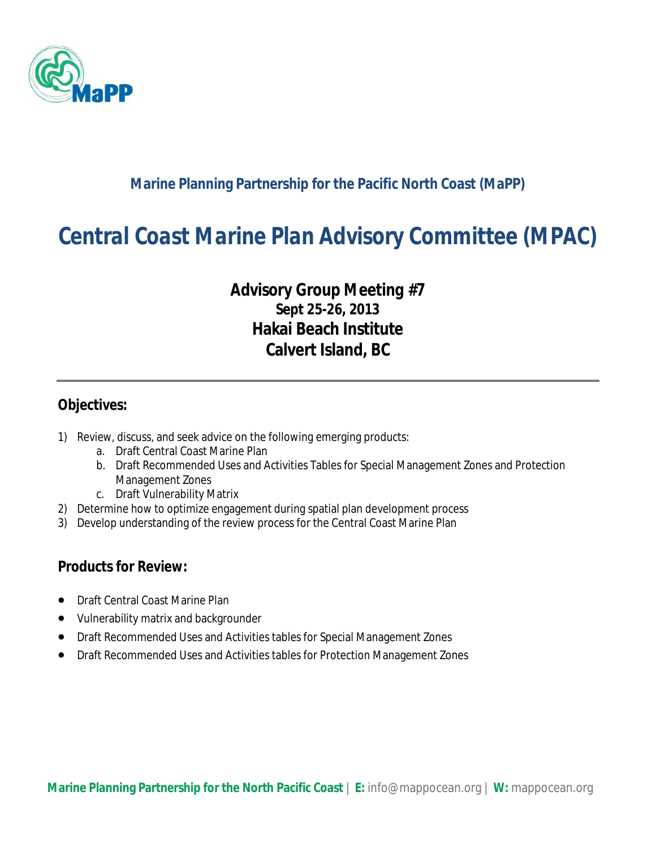

#### **Marine Planning Partnership for the Pacific North Coast (MaPP)**

# *Central Coast Marine Plan Advisory Committee (MPAC)*

### *Advisory Group Meeting #7* **Sept 25-26, 2013 Hakai Beach Institute Calvert Island, BC**

#### **Objectives:**

- 1) Review, discuss, and seek advice on the following emerging products:
	- a. Draft Central Coast Marine Plan
	- b. Draft Recommended Uses and Activities Tables for Special Management Zones and Protection Management Zones
	- c. Draft Vulnerability Matrix
- 2) Determine how to optimize engagement during spatial plan development process
- 3) Develop understanding of the review process for the Central Coast Marine Plan

#### **Products for Review:**

- Draft Central Coast Marine Plan
- Vulnerability matrix and backgrounder
- Draft Recommended Uses and Activities tables for Special Management Zones
- Draft Recommended Uses and Activities tables for Protection Management Zones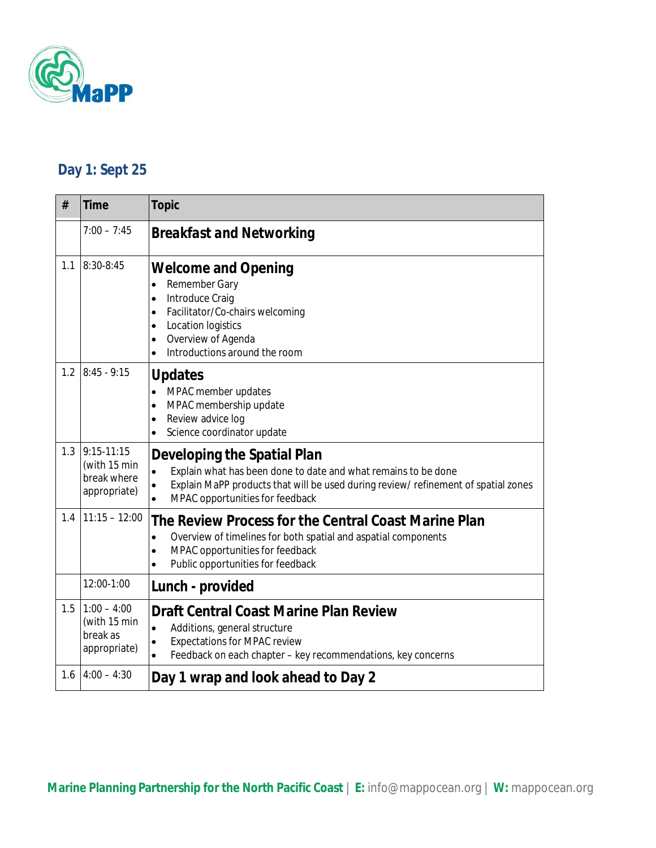

## **Day 1: Sept 25**

| #   | <b>Time</b>                                                 | <b>Topic</b>                                                                                                                                                                                                                                                  |
|-----|-------------------------------------------------------------|---------------------------------------------------------------------------------------------------------------------------------------------------------------------------------------------------------------------------------------------------------------|
|     | $7:00 - 7:45$                                               | <b>Breakfast and Networking</b>                                                                                                                                                                                                                               |
| 1.1 | 8:30-8:45                                                   | <b>Welcome and Opening</b><br>Remember Gary<br>$\bullet$<br>Introduce Craig<br>$\bullet$<br>Facilitator/Co-chairs welcoming<br>$\bullet$<br>Location logistics<br>$\bullet$<br>Overview of Agenda<br>$\bullet$<br>Introductions around the room<br>$\bullet$  |
| 1.2 | $8:45 - 9:15$                                               | <b>Updates</b><br>MPAC member updates<br>$\bullet$<br>MPAC membership update<br>$\bullet$<br>Review advice log<br>$\bullet$<br>Science coordinator update                                                                                                     |
| 1.3 | $9:15-11:15$<br>(with 15 min<br>break where<br>appropriate) | Developing the Spatial Plan<br>Explain what has been done to date and what remains to be done<br>$\bullet$<br>Explain MaPP products that will be used during review/ refinement of spatial zones<br>$\bullet$<br>MPAC opportunities for feedback<br>$\bullet$ |
| 1.4 | $11:15 - 12:00$                                             | The Review Process for the Central Coast Marine Plan<br>Overview of timelines for both spatial and aspatial components<br>$\bullet$<br>MPAC opportunities for feedback<br>$\bullet$<br>Public opportunities for feedback<br>$\bullet$                         |
|     | 12:00-1:00                                                  | Lunch - provided                                                                                                                                                                                                                                              |
| 1.5 | $1:00 - 4:00$<br>(with 15 min<br>break as<br>appropriate)   | <b>Draft Central Coast Marine Plan Review</b><br>Additions, general structure<br>$\bullet$<br><b>Expectations for MPAC review</b><br>$\bullet$<br>Feedback on each chapter - key recommendations, key concerns<br>$\bullet$                                   |
| 1.6 | $4:00 - 4:30$                                               | Day 1 wrap and look ahead to Day 2                                                                                                                                                                                                                            |